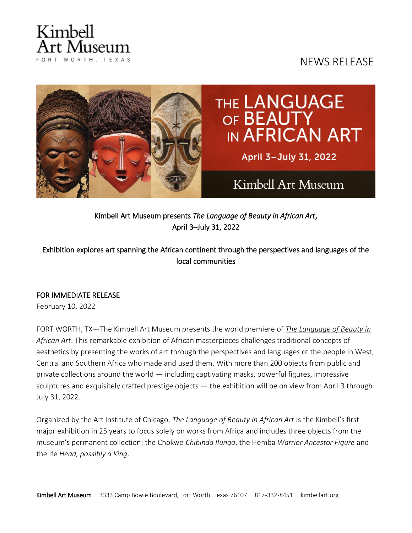# Kimbell rt Museum FORT WORTH, TEXAS

## NEWS RELEASE



Kimbell Art Museum presents *The Language of Beauty in African Art*, April 3–July 31, 2022

### Exhibition explores art spanning the African continent through the perspectives and languages of the local communities

### FOR IMMEDIATE RELEASE

February 10, 2022

FORT WORTH, TX—The Kimbell Art Museum presents the world premiere of *[The Language of Beauty in](https://kimbellart.org/exhibition/language-beauty-african-art)  [African Art](https://kimbellart.org/exhibition/language-beauty-african-art)*. This remarkable exhibition of African masterpieces challenges traditional concepts of aesthetics by presenting the works of art through the perspectives and languages of the people in West, Central and Southern Africa who made and used them. With more than 200 objects from public and private collections around the world  $-$  including captivating masks, powerful figures, impressive sculptures and exquisitely crafted prestige objects — the exhibition will be on view from April 3 through July 31, 2022.

Organized by the Art Institute of Chicago, *The Language of Beauty in African Art* is the Kimbell's first major exhibition in 25 years to focus solely on works from Africa and includes three objects from the museum's permanent collection: the Chokwe *Chibinda Ilunga*, the Hemba *Warrior Ancestor Figure* and the Ife *Head, possibly a King*.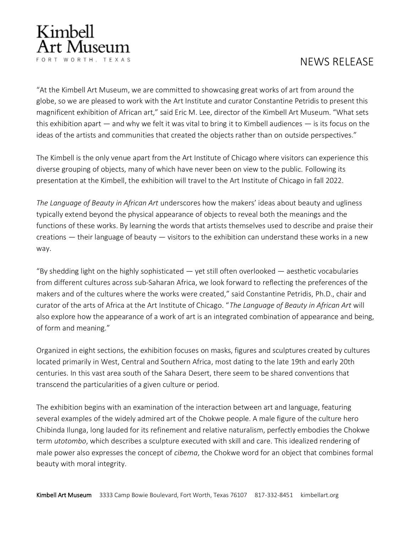

"At the Kimbell Art Museum, we are committed to showcasing great works of art from around the globe, so we are pleased to work with the Art Institute and curator Constantine Petridis to present this magnificent exhibition of African art," said Eric M. Lee, director of the Kimbell Art Museum. "What sets this exhibition apart — and why we felt it was vital to bring it to Kimbell audiences — is its focus on the ideas of the artists and communities that created the objects rather than on outside perspectives."

The Kimbell is the only venue apart from the Art Institute of Chicago where visitors can experience this diverse grouping of objects, many of which have never been on view to the public. Following its presentation at the Kimbell, the exhibition will travel to the Art Institute of Chicago in fall 2022.

*The Language of Beauty in African Art* underscores how the makers' ideas about beauty and ugliness typically extend beyond the physical appearance of objects to reveal both the meanings and the functions of these works. By learning the words that artists themselves used to describe and praise their creations — their language of beauty — visitors to the exhibition can understand these works in a new way.

"By shedding light on the highly sophisticated  $-$  yet still often overlooked  $-$  aesthetic vocabularies from different cultures across sub-Saharan Africa, we look forward to reflecting the preferences of the makers and of the cultures where the works were created," said Constantine Petridis, Ph.D., chair and curator of the arts of Africa at the Art Institute of Chicago. "*The Language of Beauty in African Art* will also explore how the appearance of a work of art is an integrated combination of appearance and being, of form and meaning."

Organized in eight sections, the exhibition focuses on masks, figures and sculptures created by cultures located primarily in West, Central and Southern Africa, most dating to the late 19th and early 20th centuries. In this vast area south of the Sahara Desert, there seem to be shared conventions that transcend the particularities of a given culture or period.

The exhibition begins with an examination of the interaction between art and language, featuring several examples of the widely admired art of the Chokwe people. A male figure of the culture hero Chibinda Ilunga, long lauded for its refinement and relative naturalism, perfectly embodies the Chokwe term *utotombo*, which describes a sculpture executed with skill and care. This idealized rendering of male power also expresses the concept of *cibema*, the Chokwe word for an object that combines formal beauty with moral integrity.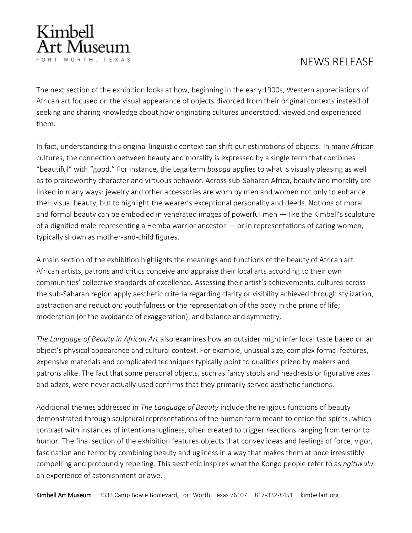

The next section of the exhibition looks at how, beginning in the early 1900s, Western appreciations of African art focused on the visual appearance of objects divorced from their original contexts instead of seeking and sharing knowledge about how originating cultures understood, viewed and experienced them.

In fact, understanding this original linguistic context can shift our estimations of objects. In many African cultures, the connection between beauty and morality is expressed by a single term that combines "beautiful" with "good." For instance, the Lega term *busoga* applies to what is visually pleasing as well as to praiseworthy character and virtuous behavior. Across sub-Saharan Africa, beauty and morality are linked in many ways: jewelry and other accessories are worn by men and women not only to enhance their visual beauty, but to highlight the wearer's exceptional personality and deeds. Notions of moral and formal beauty can be embodied in venerated images of powerful men — like the Kimbell's sculpture of a dignified male representing a Hemba warrior ancestor  $-$  or in representations of caring women, typically shown as mother-and-child figures.

A main section of the exhibition highlights the meanings and functions of the beauty of African art. African artists, patrons and critics conceive and appraise their local arts according to their own communities' collective standards of excellence. Assessing their artist's achievements, cultures across the sub-Saharan region apply aesthetic criteria regarding clarity or visibility achieved through stylization, abstraction and reduction; youthfulness or the representation of the body in the prime of life; moderation (or the avoidance of exaggeration); and balance and symmetry.

*The Language of Beauty in African Art* also examines how an outsider might infer local taste based on an object's physical appearance and cultural context. For example, unusual size, complex formal features, expensive materials and complicated techniques typically point to qualities prized by makers and patrons alike. The fact that some personal objects, such as fancy stools and headrests or figurative axes and adzes, were never actually used confirms that they primarily served aesthetic functions.

Additional themes addressed in *The Language of Beauty* include the religious functions of beauty demonstrated through sculptural representations of the human form meant to entice the spirits, which contrast with instances of intentional ugliness, often created to trigger reactions ranging from terror to humor. The final section of the exhibition features objects that convey ideas and feelings of force, vigor, fascination and terror by combining beauty and ugliness in a way that makes them at once irresistibly compelling and profoundly repelling. This aesthetic inspires what the Kongo people refer to as *ngitukulu*, an experience of astonishment or awe.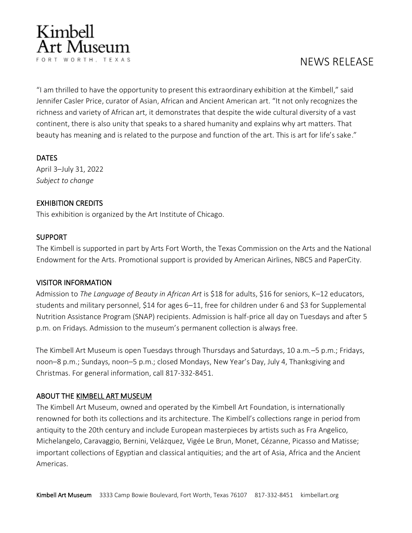

"I am thrilled to have the opportunity to present this extraordinary exhibition at the Kimbell," said Jennifer Casler Price, curator of Asian, African and Ancient American art. "It not only recognizes the richness and variety of African art, it demonstrates that despite the wide cultural diversity of a vast continent, there is also unity that speaks to a shared humanity and explains why art matters. That beauty has meaning and is related to the purpose and function of the art. This is art for life's sake."

#### DATES

April 3–July 31, 2022 *Subject to change*

#### EXHIBITION CREDITS

This exhibition is organized by the Art Institute of Chicago.

#### **SUPPORT**

The Kimbell is supported in part by Arts Fort Worth, the Texas Commission on the Arts and the National Endowment for the Arts. Promotional support is provided by American Airlines, NBC5 and PaperCity.

#### VISITOR INFORMATION

Admission to *The Language of Beauty in African Art* is \$18 for adults, \$16 for seniors, K–12 educators, students and military personnel, \$14 for ages 6–11, free for children under 6 and \$3 for Supplemental Nutrition Assistance Program (SNAP) recipients. Admission is half-price all day on Tuesdays and after 5 p.m. on Fridays. Admission to the museum's permanent collection is always free.

The Kimbell Art Museum is open Tuesdays through Thursdays and Saturdays, 10 a.m.–5 p.m.; Fridays, noon–8 p.m.; Sundays, noon–5 p.m.; closed Mondays, New Year's Day, July 4, Thanksgiving and Christmas. For general information, call 817-332-8451.

#### ABOUT THE [KIMBELL ART MUSEUM](http://kimbellart.org/)

The Kimbell Art Museum, owned and operated by the Kimbell Art Foundation, is internationally renowned for both its collections and its architecture. The Kimbell's collections range in period from antiquity to the 20th century and include European masterpieces by artists such as Fra Angelico, Michelangelo, Caravaggio, Bernini, Velázquez, Vigée Le Brun, Monet, Cézanne, Picasso and Matisse; important collections of Egyptian and classical antiquities; and the art of Asia, Africa and the Ancient Americas.